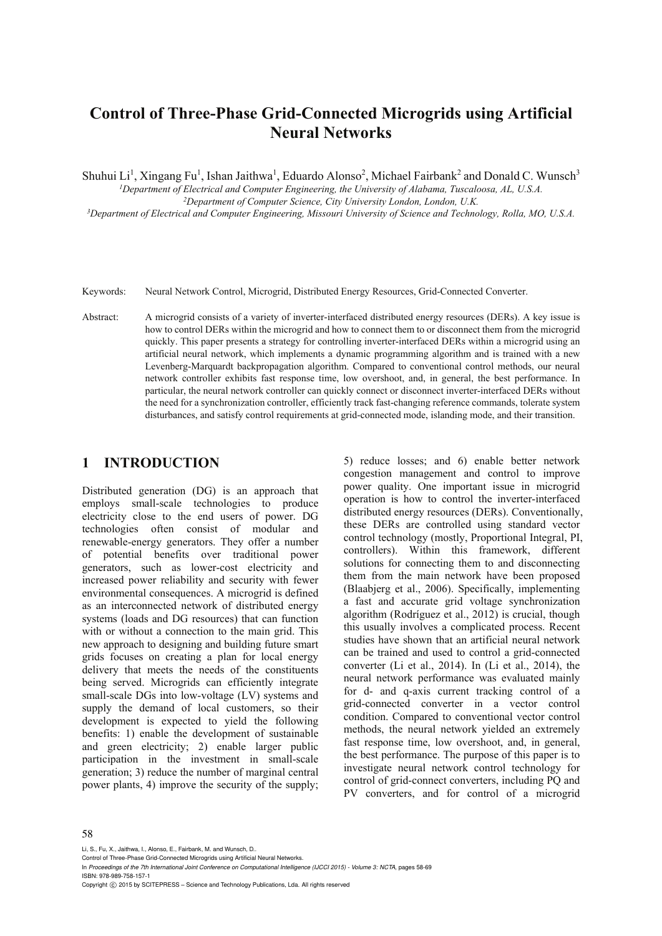# **Control of Three-Phase Grid-Connected Microgrids using Artificial Neural Networks**

Shuhui Li<sup>1</sup>, Xingang Fu<sup>1</sup>, Ishan Jaithwa<sup>1</sup>, Eduardo Alonso<sup>2</sup>, Michael Fairbank<sup>2</sup> and Donald C. Wunsch<sup>3</sup>

*1Department of Electrical and Computer Engineering, the University of Alabama, Tuscaloosa, AL, U.S.A. 2Department of Computer Science, City University London, London, U.K. 3*

*Department of Electrical and Computer Engineering, Missouri University of Science and Technology, Rolla, MO, U.S.A.* 

- Keywords: Neural Network Control, Microgrid, Distributed Energy Resources, Grid-Connected Converter.
- Abstract: A microgrid consists of a variety of inverter-interfaced distributed energy resources (DERs). A key issue is how to control DERs within the microgrid and how to connect them to or disconnect them from the microgrid quickly. This paper presents a strategy for controlling inverter-interfaced DERs within a microgrid using an artificial neural network, which implements a dynamic programming algorithm and is trained with a new Levenberg-Marquardt backpropagation algorithm. Compared to conventional control methods, our neural network controller exhibits fast response time, low overshoot, and, in general, the best performance. In particular, the neural network controller can quickly connect or disconnect inverter-interfaced DERs without the need for a synchronization controller, efficiently track fast-changing reference commands, tolerate system disturbances, and satisfy control requirements at grid-connected mode, islanding mode, and their transition.

### **1 INTRODUCTION**

Distributed generation (DG) is an approach that employs small-scale technologies to produce electricity close to the end users of power. DG technologies often consist of modular and renewable-energy generators. They offer a number of potential benefits over traditional power generators, such as lower-cost electricity and increased power reliability and security with fewer environmental consequences. A microgrid is defined as an interconnected network of distributed energy systems (loads and DG resources) that can function with or without a connection to the main grid. This new approach to designing and building future smart grids focuses on creating a plan for local energy delivery that meets the needs of the constituents being served. Microgrids can efficiently integrate small-scale DGs into low-voltage (LV) systems and supply the demand of local customers, so their development is expected to yield the following benefits: 1) enable the development of sustainable and green electricity; 2) enable larger public participation in the investment in small-scale generation; 3) reduce the number of marginal central power plants, 4) improve the security of the supply;

5) reduce losses; and 6) enable better network congestion management and control to improve power quality. One important issue in microgrid operation is how to control the inverter-interfaced distributed energy resources (DERs). Conventionally, these DERs are controlled using standard vector control technology (mostly, Proportional Integral, PI, controllers). Within this framework, different solutions for connecting them to and disconnecting them from the main network have been proposed (Blaabjerg et al., 2006). Specifically, implementing a fast and accurate grid voltage synchronization algorithm (Rodríguez et al., 2012) is crucial, though this usually involves a complicated process. Recent studies have shown that an artificial neural network can be trained and used to control a grid-connected converter (Li et al., 2014). In (Li et al., 2014), the neural network performance was evaluated mainly for d- and q-axis current tracking control of a grid-connected converter in a vector control condition. Compared to conventional vector control methods, the neural network yielded an extremely fast response time, low overshoot, and, in general, the best performance. The purpose of this paper is to investigate neural network control technology for control of grid-connect converters, including PQ and PV converters, and for control of a microgrid

#### 58

Li, S., Fu, X., Jaithwa, I., Alonso, E., Fairbank, M. and Wunsch, D..

Control of Three-Phase Grid-Connected Microgrids using Artificial Neural Networks.

In *Proceedings of the 7th International Joint Conference on Computational Intelligence (IJCCI 2015) - Volume 3: NCTA*, pages 58-69 ISBN: 978-989-758-157-1

Copyright (C) 2015 by SCITEPRESS - Science and Technology Publications, Lda. All rights reserved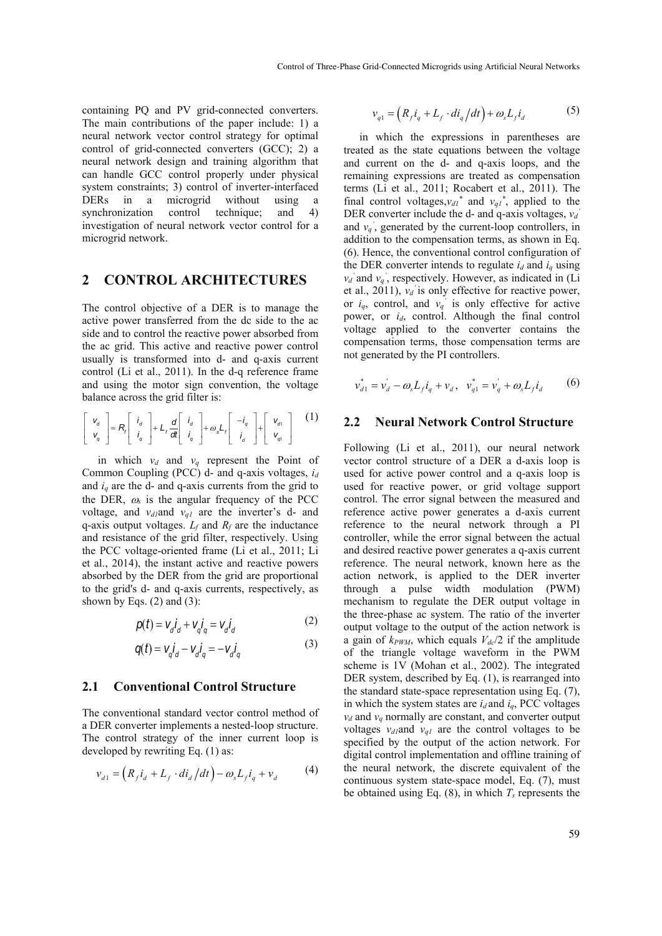containing PQ and PV grid-connected converters. The main contributions of the paper include: 1) a neural network vector control strategy for optimal control of grid-connected converters (GCC); 2) a neural network design and training algorithm that can handle GCC control properly under physical system constraints; 3) control of inverter-interfaced DERs in a microgrid without using a synchronization control technique; and 4) investigation of neural network vector control for a microgrid network.

### **2 CONTROL ARCHITECTURES**

The control objective of a DER is to manage the active power transferred from the dc side to the ac side and to control the reactive power absorbed from the ac grid. This active and reactive power control usually is transformed into d- and q-axis current control (Li et al., 2011). In the d-q reference frame and using the motor sign convention, the voltage balance across the grid filter is:

$$
\begin{bmatrix} V_d \\ V_q \end{bmatrix} = R_r \begin{bmatrix} i_d \\ i_q \end{bmatrix} + L_r \frac{d}{dt} \begin{bmatrix} i_d \\ i_q \end{bmatrix} + \omega_s L_r \begin{bmatrix} -i_q \\ i_q \end{bmatrix} + \begin{bmatrix} V_{d1} \\ V_{q1} \end{bmatrix} \quad (1)
$$

in which  $v_d$  and  $v_q$  represent the Point of Common Coupling (PCC) d- and q-axis voltages, *id* and  $i_q$  are the d- and q-axis currents from the grid to the DER,  $\omega_s$  is the angular frequency of the PCC voltage, and *v*<sub>d1</sub>and *v*<sub>q1</sub> are the inverter's d- and q-axis output voltages.  $L_f$  and  $R_f$  are the inductance and resistance of the grid filter, respectively. Using the PCC voltage-oriented frame (Li et al., 2011; Li et al., 2014), the instant active and reactive powers absorbed by the DER from the grid are proportional to the grid's d- and q-axis currents, respectively, as shown by Eqs.  $(2)$  and  $(3)$ :

$$
p(t) = V_d \dot{i}_d + V_q \dot{i}_q = V_d \dot{i}_d \tag{2}
$$

$$
q(t) = V_q \dot{I}_d - V_d \dot{I}_q = -V_d \dot{I}_q \tag{3}
$$

#### **2.1 Conventional Control Structure**

The conventional standard vector control method of a DER converter implements a nested-loop structure. The control strategy of the inner current loop is developed by rewriting Eq. (1) as:

$$
v_{d1} = \left(R_f i_d + L_f \cdot di_d / dt\right) - \omega_s L_f i_q + v_d \tag{4}
$$

$$
v_{q1} = \left(R_f i_q + L_f \cdot di_q/dt\right) + \omega_s L_f i_d \tag{5}
$$

in which the expressions in parentheses are treated as the state equations between the voltage and current on the d- and q-axis loops, and the remaining expressions are treated as compensation terms (Li et al., 2011; Rocabert et al., 2011). The final control voltages,  $v_{d1}$ <sup>\*</sup> and  $v_{q1}$ <sup>\*</sup>, applied to the DER converter include the d- and q-axis voltages,  $v_d$ <sup>'</sup> and  $v_q$ <sup>'</sup>, generated by the current-loop controllers, in addition to the compensation terms, as shown in Eq. (6). Hence, the conventional control configuration of the DER converter intends to regulate  $i_d$  and  $i_q$  using  $v_d$ ' and  $v_q$ ', respectively. However, as indicated in (Li et al., 2011),  $v_d$  is only effective for reactive power, or  $i_q$ , control, and  $v_q$ <sup>'</sup> is only effective for active power, or *i<sub>d</sub>*, control. Although the final control voltage applied to the converter contains the compensation terms, those compensation terms are not generated by the PI controllers.

$$
v_{d1}^* = v_d - \omega_s L_f i_q + v_d, \quad v_{q1}^* = v_q + \omega_s L_f i_d \tag{6}
$$

#### **2.2 Neural Network Control Structure**

Following (Li et al., 2011), our neural network vector control structure of a DER a d-axis loop is used for active power control and a q-axis loop is used for reactive power, or grid voltage support control. The error signal between the measured and reference active power generates a d-axis current reference to the neural network through a PI controller, while the error signal between the actual and desired reactive power generates a q-axis current reference. The neural network, known here as the action network, is applied to the DER inverter through a pulse width modulation (PWM) mechanism to regulate the DER output voltage in the three-phase ac system. The ratio of the inverter output voltage to the output of the action network is a gain of  $k_{PWM}$ , which equals  $V_{dc}/2$  if the amplitude of the triangle voltage waveform in the PWM scheme is 1V (Mohan et al., 2002). The integrated DER system, described by Eq. (1), is rearranged into the standard state-space representation using Eq. (7), in which the system states are  $i_d$  and  $i_q$ , PCC voltages  $v_d$  and  $v_q$  normally are constant, and converter output voltages  $v_{d1}$ and  $v_{d1}$  are the control voltages to be specified by the output of the action network. For digital control implementation and offline training of the neural network, the discrete equivalent of the continuous system state-space model, Eq. (7), must be obtained using Eq.  $(8)$ , in which  $T_s$  represents the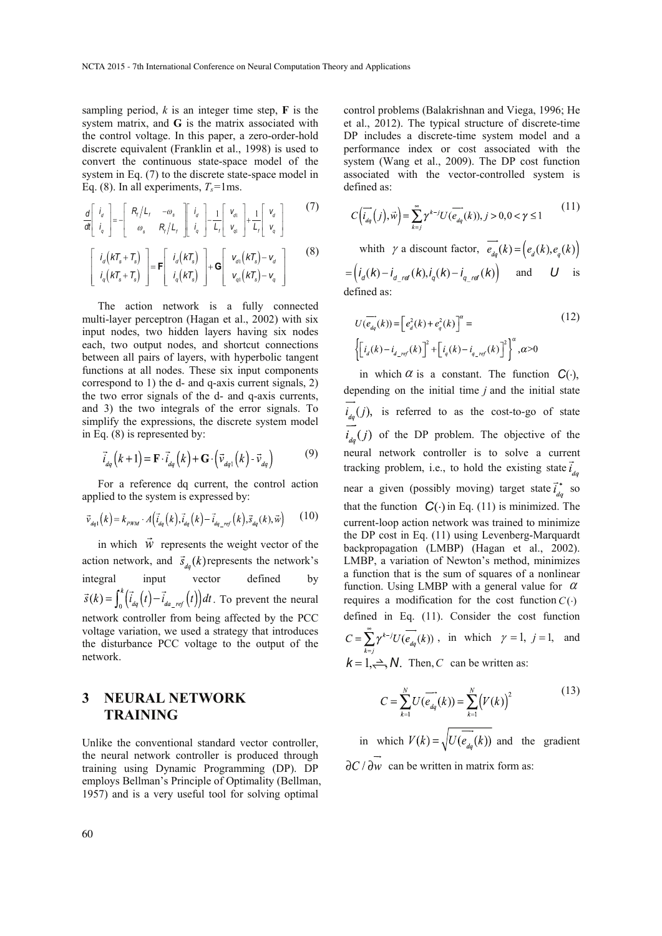sampling period,  $k$  is an integer time step,  $\bf{F}$  is the system matrix, and **G** is the matrix associated with the control voltage. In this paper, a zero-order-hold discrete equivalent (Franklin et al., 1998) is used to convert the continuous state-space model of the system in Eq. (7) to the discrete state-space model in Eq. (8). In all experiments,  $T_s$ =1ms.

$$
\frac{d}{dt}\begin{bmatrix} i_a \\ i_q \end{bmatrix} = -\begin{bmatrix} R_r/L_r & -\omega_s \\ \omega_s & R_r/L_r \end{bmatrix} \begin{bmatrix} i_a \\ i_q \end{bmatrix} - \frac{1}{L_r} \begin{bmatrix} v_a \\ v_{q1} \end{bmatrix} + \frac{1}{L_r} \begin{bmatrix} v_a \\ v_q \end{bmatrix}
$$
(7)

$$
\begin{bmatrix}\ni_d(kT_s + T_s) \\
i_q(kT_s + T_s)\n\end{bmatrix} = \mathbf{F} \begin{bmatrix}\ni_d(kT_s) \\
i_q(kT_s)\n\end{bmatrix} + \mathbf{G} \begin{bmatrix}\nv_{d1}(kT_s) - v_d \\
v_{q1}(kT_s) - v_q\n\end{bmatrix}
$$
\n(8)

The action network is a fully connected multi-layer perceptron (Hagan et al., 2002) with six input nodes, two hidden layers having six nodes each, two output nodes, and shortcut connections between all pairs of layers, with hyperbolic tangent functions at all nodes. These six input components correspond to 1) the d- and q-axis current signals, 2) the two error signals of the d- and q-axis currents, and 3) the two integrals of the error signals. To simplify the expressions, the discrete system model in Eq. (8) is represented by:

$$
\vec{i}_{dq}(k+1) = \mathbf{F} \cdot \vec{i}_{dq}(k) + \mathbf{G} \cdot (\vec{v}_{dq1}(k) - \vec{v}_{dq})
$$
(9)

For a reference dq current, the control action applied to the system is expressed by:

$$
\vec{v}_{dq1}(k) = k_{p\mu\chi} \cdot A(\vec{i}_{dq}(k), \vec{i}_{dq}(k) - \vec{i}_{dq\_ref}(k), \vec{s}_{dq}(k), \vec{w}) \tag{10}
$$

in which  $\vec{w}$  represents the weight vector of the action network, and  $\vec{s}_{da}(k)$  represents the network's integral input vector defined by . To prevent the neural network controller from being affected by the PCC voltage variation, we used a strategy that introduces the disturbance PCC voltage to the output of the network.

### **3 NEURAL NETWORK TRAINING**

Unlike the conventional standard vector controller, the neural network controller is produced through training using Dynamic Programming (DP). DP employs Bellman's Principle of Optimality (Bellman, 1957) and is a very useful tool for solving optimal

control problems (Balakrishnan and Viega, 1996; He et al., 2012). The typical structure of discrete-time DP includes a discrete-time system model and a performance index or cost associated with the system (Wang et al., 2009). The DP cost function associated with the vector-controlled system is defined as:

$$
C\left(\overrightarrow{i_{dq}}(j),\overrightarrow{w}\right) = \sum_{k=j}^{\infty} \gamma^{k-j} U(\overrightarrow{e_{dq}}(k)), j > 0, 0 < \gamma \le 1
$$
 (11)

whith  $\gamma$  a discount factor,  $\overrightarrow{e_{dq}}(k) = (e_d(k), e_q(k))$  $I_d = (i_d(k) - i_d \frac{d}{d} k)$ ,  $i_q(k) - i_q \frac{d}{d} k$  and *U* is

defined as:

$$
U(\overrightarrow{e_{dq}}(k)) = \left[e_d^2(k) + e_q^2(k)\right]^\alpha =
$$
\n
$$
\left\{ \left[i_d(k) - i_{d\_ref}(k)\right]^2 + \left[i_q(k) - i_{q\_ref}(k)\right]^2 \right\}^\alpha, \alpha > 0
$$
\n(12)

in which  $\alpha$  is a constant. The function  $C(\cdot)$ , depending on the initial time *j* and the initial state  $\overrightarrow{i}_{dq}(j)$ , is referred to as the cost-to-go of state  $i_{dq}(j)$  of the DP problem. The objective of the neural network controller is to solve a current tracking problem, i.e., to hold the existing state  $\vec{i}_{da}$ near a given (possibly moving) target state  $\vec{i}_{a}^*$  so that the function  $C(\cdot)$  in Eq. (11) is minimized. The current-loop action network was trained to minimize the DP cost in Eq. (11) using Levenberg-Marquardt backpropagation (LMBP) (Hagan et al., 2002). LMBP, a variation of Newton's method, minimizes a function that is the sum of squares of a nonlinear function. Using LMBP with a general value for  $\alpha$ requires a modification for the cost function  $C(·)$ defined in Eq. (11). Consider the cost function  $C = \sum_{k=1}^{\infty} \gamma^{k-j} U(\overrightarrow{e}_{dq}(k))$ , in which  $\gamma = 1$ ,  $j = 1$ , and  $k = 1, \implies N$ . Then, *C* can be written as:

$$
C = \sum_{k=1}^{N} U(\overrightarrow{e_{dq}}(k)) = \sum_{k=1}^{N} (V(k))^{2}
$$
\n(13)

in which  $V(k) = \sqrt{U(e_{da}(k))}$  and the gradient  $\partial C / \partial w$  can be written in matrix form as: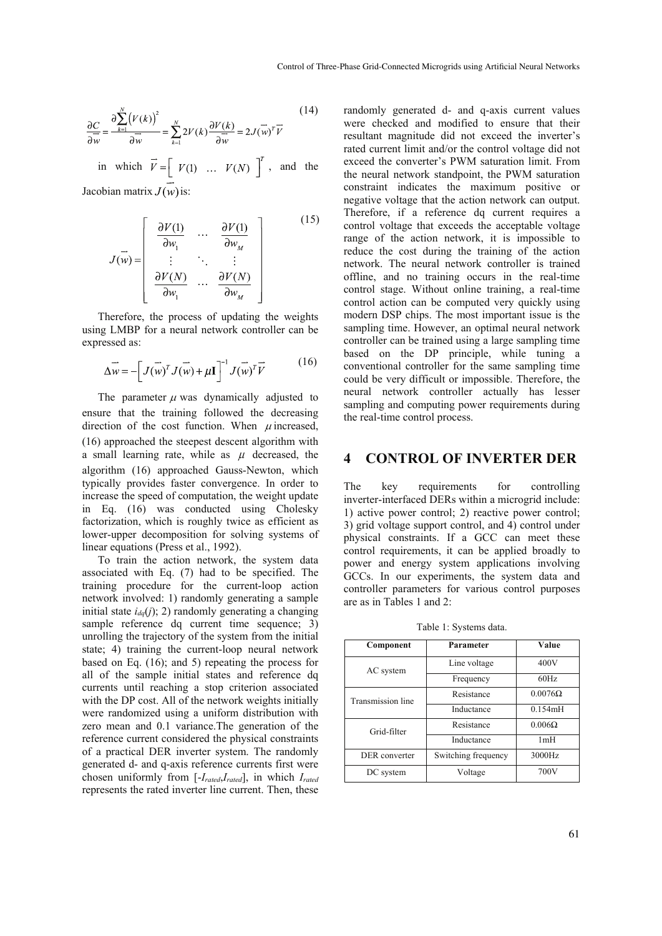$$
\frac{\partial C}{\partial \overline{w}} = \frac{\partial \sum_{k=1}^{N} (V(k))^{2}}{\partial \overline{w}} = \sum_{k=1}^{N} 2V(k) \frac{\partial V(k)}{\partial \overline{w}} = 2J(\overline{w})^{T} \overline{V}
$$
(14)

in which  $\vec{V} = \begin{bmatrix} V(1) & \dots & V(N) \end{bmatrix}^T$ , and the Jacobian matrix  $J(w)$  is:

(15)  $J(\vec{w}) = \begin{bmatrix} \frac{\partial V(1)}{\partial w_1} & \cdots & \frac{\partial V(1)}{\partial w_M} \\ \vdots & \ddots & \vdots \\ \frac{\partial V(N)}{\partial w} & \cdots & \frac{\partial V(N)}{\partial w} \end{bmatrix}$ 

Therefore, the process of updating the weights using LMBP for a neural network controller can be expressed as:

$$
\Delta \vec{w} = -\left[J(\vec{w})^T J(\vec{w}) + \mu \mathbf{I}\right]^{-1} J(\vec{w})^T \vec{V}
$$
(16)

The parameter  $\mu$  was dynamically adjusted to ensure that the training followed the decreasing direction of the cost function. When  $\mu$  increased, (16) approached the steepest descent algorithm with a small learning rate, while as  $\mu$  decreased, the algorithm (16) approached Gauss-Newton, which typically provides faster convergence. In order to increase the speed of computation, the weight update in Eq. (16) was conducted using Cholesky factorization, which is roughly twice as efficient as lower-upper decomposition for solving systems of linear equations (Press et al., 1992).

To train the action network, the system data associated with Eq. (7) had to be specified. The training procedure for the current-loop action network involved: 1) randomly generating a sample initial state  $i_{dq}(i)$ ; 2) randomly generating a changing sample reference dq current time sequence; 3) unrolling the trajectory of the system from the initial state; 4) training the current-loop neural network based on Eq. (16); and 5) repeating the process for all of the sample initial states and reference dq currents until reaching a stop criterion associated with the DP cost. All of the network weights initially were randomized using a uniform distribution with zero mean and 0.1 variance.The generation of the reference current considered the physical constraints of a practical DER inverter system. The randomly generated d- and q-axis reference currents first were chosen uniformly from [-*Irated*,*Irated*], in which *Irated* represents the rated inverter line current. Then, these

randomly generated d- and q-axis current values were checked and modified to ensure that their resultant magnitude did not exceed the inverter's rated current limit and/or the control voltage did not exceed the converter's PWM saturation limit. From the neural network standpoint, the PWM saturation constraint indicates the maximum positive or negative voltage that the action network can output. Therefore, if a reference dq current requires a control voltage that exceeds the acceptable voltage range of the action network, it is impossible to reduce the cost during the training of the action network. The neural network controller is trained offline, and no training occurs in the real-time control stage. Without online training, a real-time control action can be computed very quickly using modern DSP chips. The most important issue is the sampling time. However, an optimal neural network controller can be trained using a large sampling time based on the DP principle, while tuning a conventional controller for the same sampling time could be very difficult or impossible. Therefore, the neural network controller actually has lesser sampling and computing power requirements during the real-time control process.

### **4 CONTROL OF INVERTER DER**

The key requirements for controlling inverter-interfaced DERs within a microgrid include: 1) active power control; 2) reactive power control; 3) grid voltage support control, and 4) control under physical constraints. If a GCC can meet these control requirements, it can be applied broadly to power and energy system applications involving GCCs. In our experiments, the system data and controller parameters for various control purposes are as in Tables 1 and 2:

Table 1: Systems data.

| Component         | Parameter           | Value          |  |
|-------------------|---------------------|----------------|--|
| AC system         | Line voltage        | 400V           |  |
|                   | Frequency           | 60Hz           |  |
| Transmission line | Resistance          | $0.0076\Omega$ |  |
|                   | Inductance          | 0.154mH        |  |
| Grid-filter       | Resistance          | $0.006\Omega$  |  |
|                   | Inductance          | 1mH            |  |
| DER converter     | Switching frequency | 3000Hz         |  |
| DC system         | Voltage             | 700V           |  |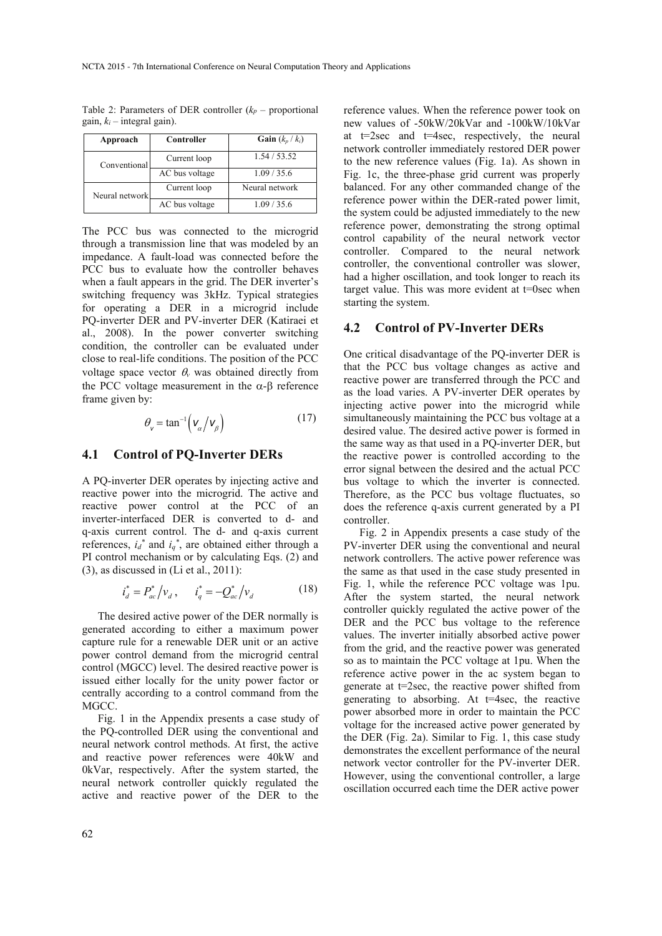Table 2: Parameters of DER controller  $(k_p -$  proportional gain,  $k_i$  – integral gain).

| Approach       | Controller     | Gain $(k_n / k_i)$ |
|----------------|----------------|--------------------|
| Conventional   | Current loop   | 1.54 / 53.52       |
|                | AC bus voltage | 1.09/35.6          |
| Neural network | Current loop   | Neural network     |
|                | AC bus voltage | 1.09/35.6          |

The PCC bus was connected to the microgrid through a transmission line that was modeled by an impedance. A fault-load was connected before the PCC bus to evaluate how the controller behaves when a fault appears in the grid. The DER inverter's switching frequency was 3kHz. Typical strategies for operating a DER in a microgrid include PQ-inverter DER and PV-inverter DER (Katiraei et al., 2008). In the power converter switching condition, the controller can be evaluated under close to real-life conditions. The position of the PCC voltage space vector  $\theta$ <sup>*v*</sup> was obtained directly from the PCC voltage measurement in the  $α$ -β reference frame given by:

$$
\theta_{\mathsf{v}} = \tan^{-1} \left( \mathsf{v}_{\alpha} / \mathsf{v}_{\beta} \right) \tag{17}
$$

### **4.1 Control of PQ-Inverter DERs**

A PQ-inverter DER operates by injecting active and reactive power into the microgrid. The active and reactive power control at the PCC of an inverter-interfaced DER is converted to d- and q-axis current control. The d- and q-axis current references,  $i_d^*$  and  $i_q^*$ , are obtained either through a PI control mechanism or by calculating Eqs. (2) and (3), as discussed in (Li et al., 2011):

$$
i_d^* = P_{ac}^* / v_d , \qquad i_q^* = -Q_{ac}^* / v_d
$$
 (18)

The desired active power of the DER normally is generated according to either a maximum power capture rule for a renewable DER unit or an active power control demand from the microgrid central control (MGCC) level. The desired reactive power is issued either locally for the unity power factor or centrally according to a control command from the MGCC.

Fig. 1 in the Appendix presents a case study of the PQ-controlled DER using the conventional and neural network control methods. At first, the active and reactive power references were 40kW and 0kVar, respectively. After the system started, the neural network controller quickly regulated the active and reactive power of the DER to the

reference values. When the reference power took on new values of -50kW/20kVar and -100kW/10kVar at t=2sec and t=4sec, respectively, the neural network controller immediately restored DER power to the new reference values (Fig. 1a). As shown in Fig. 1c, the three-phase grid current was properly balanced. For any other commanded change of the reference power within the DER-rated power limit, the system could be adjusted immediately to the new reference power, demonstrating the strong optimal control capability of the neural network vector controller. Compared to the neural network controller, the conventional controller was slower, had a higher oscillation, and took longer to reach its target value. This was more evident at t=0sec when starting the system.

#### **4.2 Control of PV-Inverter DERs**

One critical disadvantage of the PQ-inverter DER is that the PCC bus voltage changes as active and reactive power are transferred through the PCC and as the load varies. A PV-inverter DER operates by injecting active power into the microgrid while simultaneously maintaining the PCC bus voltage at a desired value. The desired active power is formed in the same way as that used in a PQ-inverter DER, but the reactive power is controlled according to the error signal between the desired and the actual PCC bus voltage to which the inverter is connected. Therefore, as the PCC bus voltage fluctuates, so does the reference q-axis current generated by a PI controller.

Fig. 2 in Appendix presents a case study of the PV-inverter DER using the conventional and neural network controllers. The active power reference was the same as that used in the case study presented in Fig. 1, while the reference PCC voltage was 1pu. After the system started, the neural network controller quickly regulated the active power of the DER and the PCC bus voltage to the reference values. The inverter initially absorbed active power from the grid, and the reactive power was generated so as to maintain the PCC voltage at 1pu. When the reference active power in the ac system began to generate at t=2sec, the reactive power shifted from generating to absorbing. At  $t=4$ sec, the reactive power absorbed more in order to maintain the PCC voltage for the increased active power generated by the DER (Fig. 2a). Similar to Fig. 1, this case study demonstrates the excellent performance of the neural network vector controller for the PV-inverter DER. However, using the conventional controller, a large oscillation occurred each time the DER active power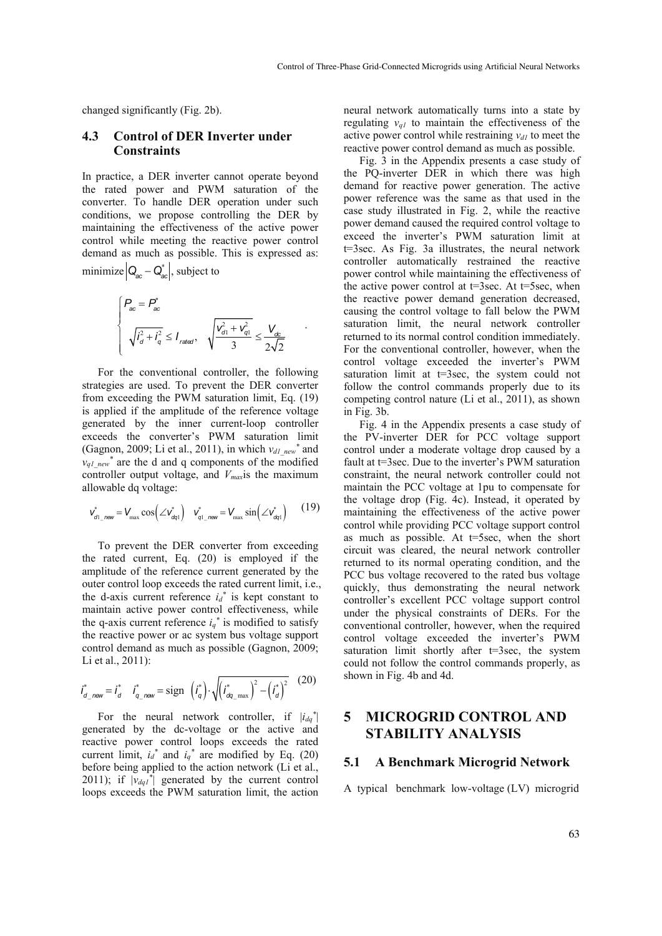changed significantly (Fig. 2b).

#### **4.3 Control of DER Inverter under Constraints**

In practice, a DER inverter cannot operate beyond the rated power and PWM saturation of the converter. To handle DER operation under such conditions, we propose controlling the DER by maintaining the effectiveness of the active power control while meeting the reactive power control demand as much as possible. This is expressed as: minimize  $\left| \mathbf{Q}_{ac} - \mathbf{Q}_{ac}^{*} \right|$ , subject to

$$
\begin{cases}\nP_{ac} = P_{ac}^* \\
\sqrt{i_d^2 + i_q^2} \le I_{\text{rateed}}, \quad \sqrt{\frac{v_{d1}^2 + v_{q1}^2}{3}} \le \frac{V_{dc}}{2\sqrt{2}}\n\end{cases}
$$

.

For the conventional controller, the following strategies are used. To prevent the DER converter from exceeding the PWM saturation limit, Eq. (19) is applied if the amplitude of the reference voltage generated by the inner current-loop controller exceeds the converter's PWM saturation limit (Gagnon, 2009; Li et al., 2011), in which  $v_{dl\_new}$ <sup>\*</sup> and  $v_{q1\text{ new}}^*$  are the d and q components of the modified controller output voltage, and *Vmax*is the maximum allowable dq voltage:

$$
\boldsymbol{v}_{d1\_new}^* = \boldsymbol{V}_{max} \cos\left(\angle \boldsymbol{v}_{dq1}^*\right) \quad \boldsymbol{v}_{q1\_new}^* = \boldsymbol{V}_{max} \sin\left(\angle \boldsymbol{v}_{dq1}^*\right) \tag{19}
$$

To prevent the DER converter from exceeding the rated current, Eq. (20) is employed if the amplitude of the reference current generated by the outer control loop exceeds the rated current limit, i.e., the d-axis current reference  $i_d^*$  is kept constant to maintain active power control effectiveness, while the q-axis current reference  $i_q^*$  is modified to satisfy the reactive power or ac system bus voltage support control demand as much as possible (Gagnon, 2009; Li et al., 2011):

$$
i_{d\_new}^* = i_d^* \quad i_{q\_new}^* = \text{sign} \quad (i_q^*) \cdot \sqrt{(i_{dq\_max}^*)^2 - (i_d^*)^2} \quad (20)
$$

For the neural network controller, if  $|i_{dq}^*|$ generated by the dc-voltage or the active and reactive power control loops exceeds the rated current limit,  $i_d^*$  and  $i_q^*$  are modified by Eq. (20) before being applied to the action network (Li et al., 2011); if  $|v_{dq}t^*|$  generated by the current control loops exceeds the PWM saturation limit, the action

neural network automatically turns into a state by regulating  $v_{qI}$  to maintain the effectiveness of the active power control while restraining  $v_{d1}$  to meet the reactive power control demand as much as possible.

Fig. 3 in the Appendix presents a case study of the PQ-inverter DER in which there was high demand for reactive power generation. The active power reference was the same as that used in the case study illustrated in Fig. 2, while the reactive power demand caused the required control voltage to exceed the inverter's PWM saturation limit at t=3sec. As Fig. 3a illustrates, the neural network controller automatically restrained the reactive power control while maintaining the effectiveness of the active power control at  $t=3$ sec. At  $t=5$ sec, when the reactive power demand generation decreased, causing the control voltage to fall below the PWM saturation limit, the neural network controller returned to its normal control condition immediately. For the conventional controller, however, when the control voltage exceeded the inverter's PWM saturation limit at  $t=3$ sec, the system could not follow the control commands properly due to its competing control nature (Li et al., 2011), as shown in Fig. 3b.

Fig. 4 in the Appendix presents a case study of the PV-inverter DER for PCC voltage support control under a moderate voltage drop caused by a fault at t=3sec. Due to the inverter's PWM saturation constraint, the neural network controller could not maintain the PCC voltage at 1pu to compensate for the voltage drop (Fig. 4c). Instead, it operated by maintaining the effectiveness of the active power control while providing PCC voltage support control as much as possible. At t=5sec, when the short circuit was cleared, the neural network controller returned to its normal operating condition, and the PCC bus voltage recovered to the rated bus voltage quickly, thus demonstrating the neural network controller's excellent PCC voltage support control under the physical constraints of DERs. For the conventional controller, however, when the required control voltage exceeded the inverter's PWM saturation limit shortly after  $t=3$ sec, the system could not follow the control commands properly, as shown in Fig. 4b and 4d.

## **5 MICROGRID CONTROL AND STABILITY ANALYSIS**

#### **5.1 A Benchmark Microgrid Network**

A typical benchmark low-voltage (LV) microgrid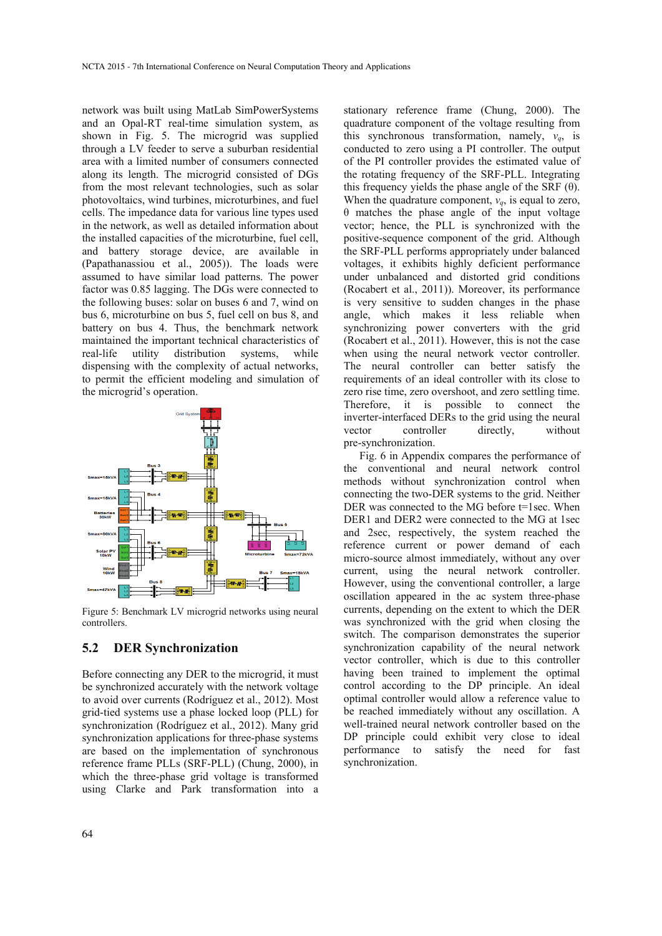network was built using MatLab SimPowerSystems and an Opal-RT real-time simulation system, as shown in Fig. 5. The microgrid was supplied through a LV feeder to serve a suburban residential area with a limited number of consumers connected along its length. The microgrid consisted of DGs from the most relevant technologies, such as solar photovoltaics, wind turbines, microturbines, and fuel cells. The impedance data for various line types used in the network, as well as detailed information about the installed capacities of the microturbine, fuel cell, and battery storage device, are available in (Papathanassiou et al., 2005)). The loads were assumed to have similar load patterns. The power factor was 0.85 lagging. The DGs were connected to the following buses: solar on buses 6 and 7, wind on bus 6, microturbine on bus 5, fuel cell on bus 8, and battery on bus 4. Thus, the benchmark network maintained the important technical characteristics of real-life utility distribution systems, while dispensing with the complexity of actual networks, to permit the efficient modeling and simulation of the microgrid's operation.



Figure 5: Benchmark LV microgrid networks using neural controllers.

#### **5.2 DER Synchronization**

Before connecting any DER to the microgrid, it must be synchronized accurately with the network voltage to avoid over currents (Rodríguez et al., 2012). Most grid-tied systems use a phase locked loop (PLL) for synchronization (Rodríguez et al., 2012). Many grid synchronization applications for three-phase systems are based on the implementation of synchronous reference frame PLLs (SRF-PLL) (Chung, 2000), in which the three-phase grid voltage is transformed using Clarke and Park transformation into a

stationary reference frame (Chung, 2000). The quadrature component of the voltage resulting from this synchronous transformation, namely,  $v_a$ , is conducted to zero using a PI controller. The output of the PI controller provides the estimated value of the rotating frequency of the SRF-PLL. Integrating this frequency yields the phase angle of the SRF  $(θ)$ . When the quadrature component,  $v_q$ , is equal to zero, θ matches the phase angle of the input voltage vector; hence, the PLL is synchronized with the positive-sequence component of the grid. Although the SRF-PLL performs appropriately under balanced voltages, it exhibits highly deficient performance under unbalanced and distorted grid conditions (Rocabert et al., 2011)). Moreover, its performance is very sensitive to sudden changes in the phase angle, which makes it less reliable when synchronizing power converters with the grid (Rocabert et al., 2011). However, this is not the case when using the neural network vector controller. The neural controller can better satisfy the requirements of an ideal controller with its close to zero rise time, zero overshoot, and zero settling time. Therefore, it is possible to connect the inverter-interfaced DERs to the grid using the neural vector controller directly, without pre-synchronization.

Fig. 6 in Appendix compares the performance of the conventional and neural network control methods without synchronization control when connecting the two-DER systems to the grid. Neither DER was connected to the MG before t=1sec. When DER1 and DER2 were connected to the MG at 1sec and 2sec, respectively, the system reached the reference current or power demand of each micro-source almost immediately, without any over current, using the neural network controller. However, using the conventional controller, a large oscillation appeared in the ac system three-phase currents, depending on the extent to which the DER was synchronized with the grid when closing the switch. The comparison demonstrates the superior synchronization capability of the neural network vector controller, which is due to this controller having been trained to implement the optimal control according to the DP principle. An ideal optimal controller would allow a reference value to be reached immediately without any oscillation. A well-trained neural network controller based on the DP principle could exhibit very close to ideal performance to satisfy the need for fast synchronization.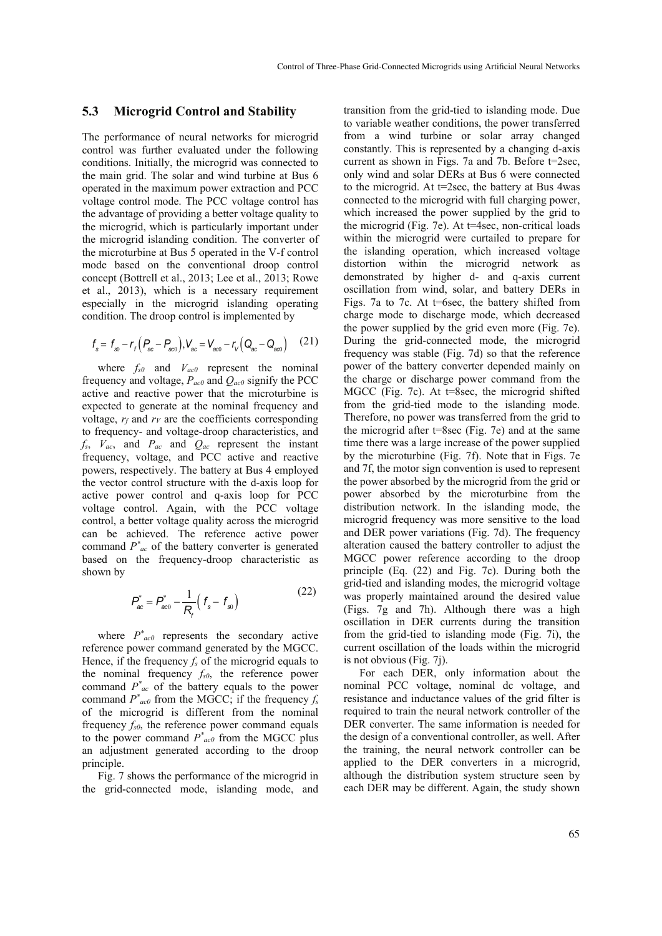#### **5.3 Microgrid Control and Stability**

The performance of neural networks for microgrid control was further evaluated under the following conditions. Initially, the microgrid was connected to the main grid. The solar and wind turbine at Bus 6 operated in the maximum power extraction and PCC voltage control mode. The PCC voltage control has the advantage of providing a better voltage quality to the microgrid, which is particularly important under the microgrid islanding condition. The converter of the microturbine at Bus 5 operated in the V-f control mode based on the conventional droop control concept (Bottrell et al., 2013; Lee et al., 2013; Rowe et al., 2013), which is a necessary requirement especially in the microgrid islanding operating condition. The droop control is implemented by

$$
f_s = f_{s0} - r_r (P_{ac} - P_{ac0}), V_{ac} = V_{ac0} - r_v (Q_{ac} - Q_{ac0}) \quad (21)
$$

where  $f_{s0}$  and  $V_{ac0}$  represent the nominal frequency and voltage, *Pac0* and *Qac0* signify the PCC active and reactive power that the microturbine is expected to generate at the nominal frequency and voltage,  $r_f$  and  $r_V$  are the coefficients corresponding to frequency- and voltage-droop characteristics, and *fs*, *Vac*, and *Pac* and *Qac* represent the instant frequency, voltage, and PCC active and reactive powers, respectively. The battery at Bus 4 employed the vector control structure with the d-axis loop for active power control and q-axis loop for PCC voltage control. Again, with the PCC voltage control, a better voltage quality across the microgrid can be achieved. The reference active power command *P\* ac* of the battery converter is generated based on the frequency-droop characteristic as shown by

$$
P_{ac}^{*} = P_{ac0}^{*} - \frac{1}{R_{f}} \left( f_{s} - f_{s0} \right)
$$
 (22)

where  $P^*_{ac0}$  represents the secondary active reference power command generated by the MGCC. Hence, if the frequency  $f_s$  of the microgrid equals to the nominal frequency *fs0*, the reference power command  $P^*_{ac}$  of the battery equals to the power command  $P^*_{ac0}$  from the MGCC; if the frequency  $f_s$ of the microgrid is different from the nominal frequency *fs0*, the reference power command equals to the power command  $P^*_{ac0}$  from the MGCC plus an adjustment generated according to the droop principle.

Fig. 7 shows the performance of the microgrid in the grid-connected mode, islanding mode, and

transition from the grid-tied to islanding mode. Due to variable weather conditions, the power transferred from a wind turbine or solar array changed constantly. This is represented by a changing d-axis current as shown in Figs. 7a and 7b. Before t=2sec, only wind and solar DERs at Bus 6 were connected to the microgrid. At t=2sec, the battery at Bus 4was connected to the microgrid with full charging power, which increased the power supplied by the grid to the microgrid (Fig. 7e). At t=4sec, non-critical loads within the microgrid were curtailed to prepare for the islanding operation, which increased voltage distortion within the microgrid network as demonstrated by higher d- and q-axis current oscillation from wind, solar, and battery DERs in Figs. 7a to 7c. At t=6sec, the battery shifted from charge mode to discharge mode, which decreased the power supplied by the grid even more (Fig. 7e). During the grid-connected mode, the microgrid frequency was stable (Fig. 7d) so that the reference power of the battery converter depended mainly on the charge or discharge power command from the MGCC (Fig. 7c). At t=8sec, the microgrid shifted from the grid-tied mode to the islanding mode. Therefore, no power was transferred from the grid to the microgrid after t=8sec (Fig. 7e) and at the same time there was a large increase of the power supplied by the microturbine (Fig. 7f). Note that in Figs. 7e and 7f, the motor sign convention is used to represent the power absorbed by the microgrid from the grid or power absorbed by the microturbine from the distribution network. In the islanding mode, the microgrid frequency was more sensitive to the load and DER power variations (Fig. 7d). The frequency alteration caused the battery controller to adjust the MGCC power reference according to the droop principle (Eq. (22) and Fig. 7c). During both the grid-tied and islanding modes, the microgrid voltage was properly maintained around the desired value (Figs. 7g and 7h). Although there was a high oscillation in DER currents during the transition from the grid-tied to islanding mode (Fig. 7i), the current oscillation of the loads within the microgrid is not obvious (Fig. 7j).

For each DER, only information about the nominal PCC voltage, nominal dc voltage, and resistance and inductance values of the grid filter is required to train the neural network controller of the DER converter. The same information is needed for the design of a conventional controller, as well. After the training, the neural network controller can be applied to the DER converters in a microgrid, although the distribution system structure seen by each DER may be different. Again, the study shown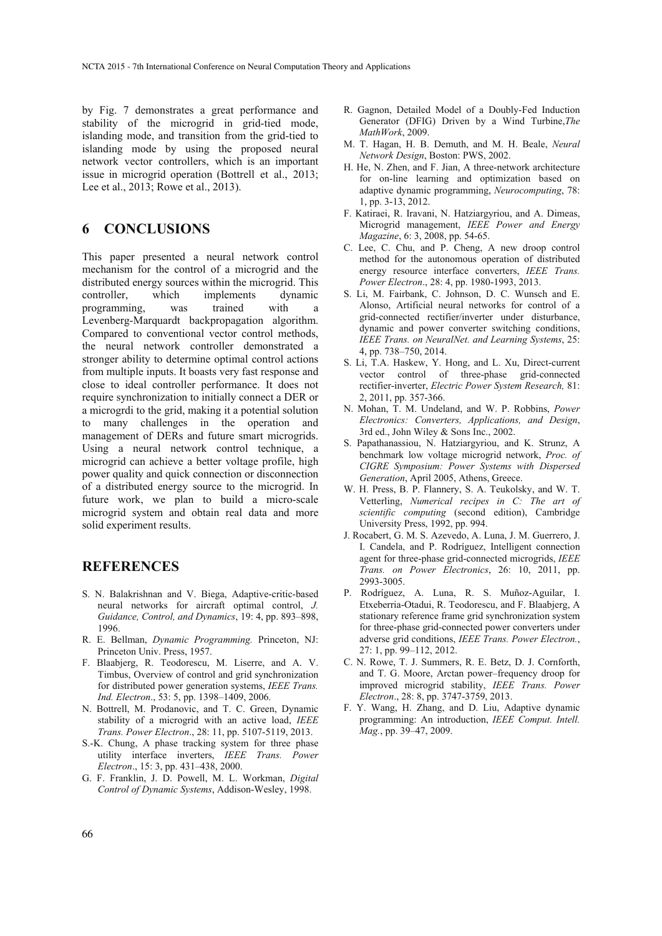by Fig. 7 demonstrates a great performance and stability of the microgrid in grid-tied mode, islanding mode, and transition from the grid-tied to islanding mode by using the proposed neural network vector controllers, which is an important issue in microgrid operation (Bottrell et al., 2013; Lee et al., 2013; Rowe et al., 2013).

### **6 CONCLUSIONS**

This paper presented a neural network control mechanism for the control of a microgrid and the distributed energy sources within the microgrid. This controller, which implements dynamic programming, was trained with a Levenberg-Marquardt backpropagation algorithm. Compared to conventional vector control methods, the neural network controller demonstrated a stronger ability to determine optimal control actions from multiple inputs. It boasts very fast response and close to ideal controller performance. It does not require synchronization to initially connect a DER or a microgrdi to the grid, making it a potential solution to many challenges in the operation and management of DERs and future smart microgrids. Using a neural network control technique, a microgrid can achieve a better voltage profile, high power quality and quick connection or disconnection of a distributed energy source to the microgrid. In future work, we plan to build a micro-scale microgrid system and obtain real data and more solid experiment results.

### **REFERENCES**

- S. N. Balakrishnan and V. Biega, Adaptive-critic-based neural networks for aircraft optimal control, *J. Guidance, Control, and Dynamics*, 19: 4, pp. 893–898, 1996.
- R. E. Bellman, *Dynamic Programming.* Princeton, NJ: Princeton Univ. Press, 1957.
- F. Blaabjerg, R. Teodorescu, M. Liserre, and A. V. Timbus, Overview of control and grid synchronization for distributed power generation systems, *IEEE Trans. Ind. Electron*., 53: 5, pp. 1398–1409, 2006.
- N. Bottrell, M. Prodanovic, and T. C. Green, Dynamic stability of a microgrid with an active load, *IEEE Trans. Power Electron*., 28: 11, pp. 5107-5119, 2013.
- S.-K. Chung, A phase tracking system for three phase utility interface inverters, *IEEE Trans. Power Electron*., 15: 3, pp. 431–438, 2000.
- G. F. Franklin, J. D. Powell, M. L. Workman, *Digital Control of Dynamic Systems*, Addison-Wesley, 1998.
- R. Gagnon, Detailed Model of a Doubly-Fed Induction Generator (DFIG) Driven by a Wind Turbine,*The MathWork*, 2009.
- M. T. Hagan, H. B. Demuth, and M. H. Beale, *Neural Network Design*, Boston: PWS, 2002.
- H. He, N. Zhen, and F. Jian, A three-network architecture for on-line learning and optimization based on adaptive dynamic programming, *Neurocomputing*, 78: 1, pp. 3-13, 2012.
- F. Katiraei, R. Iravani, N. Hatziargyriou, and A. Dimeas, Microgrid management, *IEEE Power and Energy Magazine*, 6: 3, 2008, pp. 54-65.
- C. Lee, C. Chu, and P. Cheng, A new droop control method for the autonomous operation of distributed energy resource interface converters, *IEEE Trans. Power Electron*., 28: 4, pp. 1980-1993, 2013.
- S. Li, M. Fairbank, C. Johnson, D. C. Wunsch and E. Alonso, Artificial neural networks for control of a grid-connected rectifier/inverter under disturbance, dynamic and power converter switching conditions, *IEEE Trans. on NeuralNet. and Learning Systems*, 25: 4, pp. 738–750, 2014.
- S. Li, T.A. Haskew, Y. Hong, and L. Xu, Direct-current vector control of three-phase grid-connected rectifier-inverter, *Electric Power System Research,* 81: 2, 2011, pp. 357-366.
- N. Mohan, T. M. Undeland, and W. P. Robbins, *Power Electronics: Converters, Applications, and Design*, 3rd ed., John Wiley & Sons Inc., 2002.
- S. Papathanassiou, N. Hatziargyriou, and K. Strunz, A benchmark low voltage microgrid network, *Proc. of CIGRE Symposium: Power Systems with Dispersed Generation*, April 2005, Athens, Greece.
- W. H. Press, B. P. Flannery, S. A. Teukolsky, and W. T. Vetterling, *Numerical recipes in C: The art of scientific computing* (second edition), Cambridge University Press, 1992, pp. 994.
- J. Rocabert, G. M. S. Azevedo, A. Luna, J. M. Guerrero, J. I. Candela, and P. Rodríguez, Intelligent connection agent for three-phase grid-connected microgrids, *IEEE Trans. on Power Electronics*, 26: 10, 2011, pp. 2993-3005.
- P. Rodríguez, A. Luna, R. S. Muñoz-Aguilar, I. Etxeberria-Otadui, R. Teodorescu, and F. Blaabjerg, A stationary reference frame grid synchronization system for three-phase grid-connected power converters under adverse grid conditions, *IEEE Trans. Power Electron.*, 27: 1, pp. 99–112, 2012.
- C. N. Rowe, T. J. Summers, R. E. Betz, D. J. Cornforth, and T. G. Moore, Arctan power–frequency droop for improved microgrid stability, *IEEE Trans. Power Electron*., 28: 8, pp. 3747-3759, 2013.
- F. Y. Wang, H. Zhang, and D. Liu, Adaptive dynamic programming: An introduction, *IEEE Comput. Intell. Mag.*, pp. 39–47, 2009.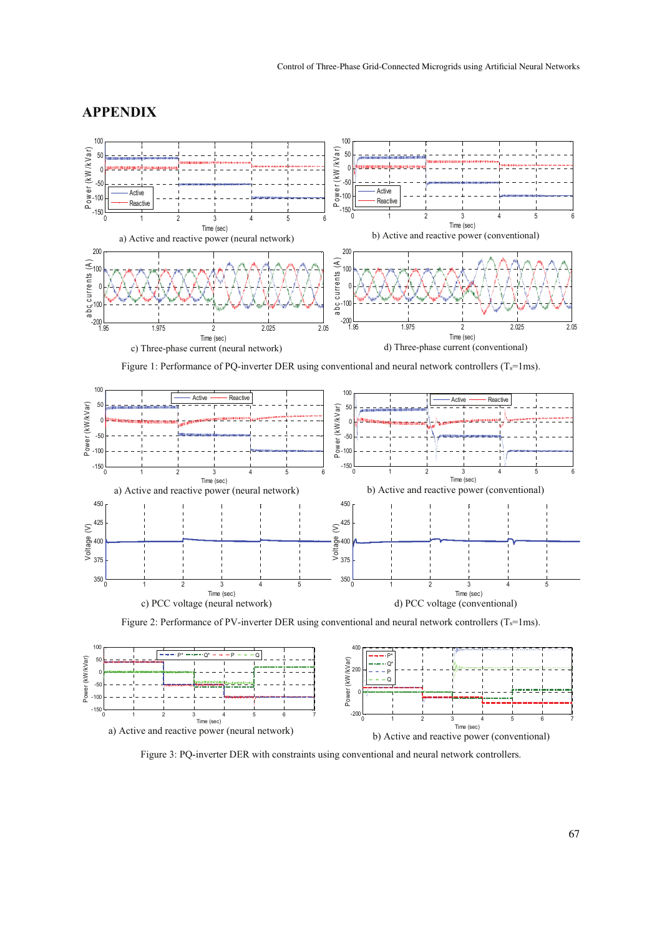### **APPENDIX**



Figure 1: Performance of PQ-inverter DER using conventional and neural network controllers  $(T_s=1\text{ms})$ .



Figure 2: Performance of PV-inverter DER using conventional and neural network controllers  $(T_s=1\text{ms})$ .



Figure 3: PQ-inverter DER with constraints using conventional and neural network controllers.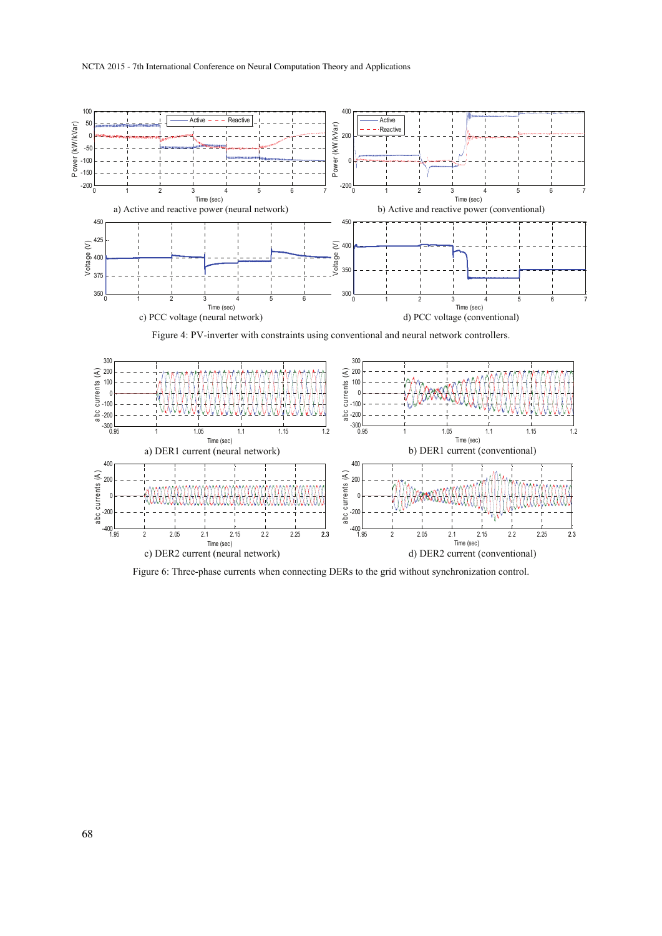

Figure 4: PV-inverter with constraints using conventional and neural network controllers.



Figure 6: Three-phase currents when connecting DERs to the grid without synchronization control.